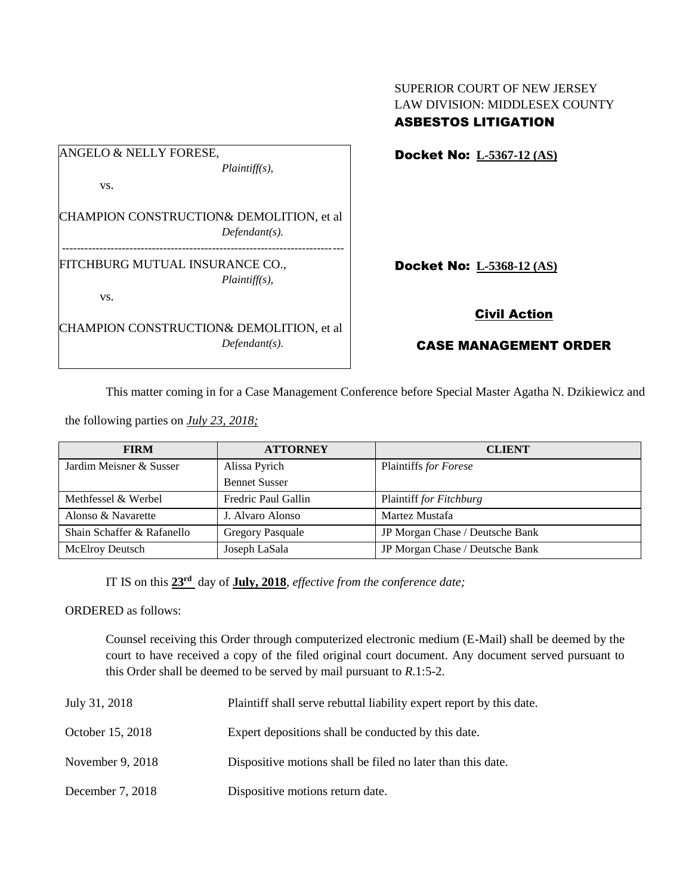| ANGELO & NELLY FORESE,          |                                          |
|---------------------------------|------------------------------------------|
|                                 | $Plaintiff(s)$ ,                         |
| VS.                             |                                          |
|                                 |                                          |
|                                 | CHAMPION CONSTRUCTION& DEMOLITION, et al |
|                                 | $Defendant(s)$ .                         |
|                                 |                                          |
| FITCHBURG MUTUAL INSURANCE CO., |                                          |
|                                 | $Plaintiff(s)$ ,                         |
| VS.                             |                                          |
|                                 | CHAMPION CONSTRUCTION& DEMOLITION, et al |
|                                 |                                          |
|                                 | $Defendant(s)$ .                         |

SUPERIOR COURT OF NEW JERSEY LAW DIVISION: MIDDLESEX COUNTY ASBESTOS LITIGATION

Docket No: **L-5367-12 (AS)**

Docket No: **L-5368-12 (AS)**

## Civil Action

## CASE MANAGEMENT ORDER

This matter coming in for a Case Management Conference before Special Master Agatha N. Dzikiewicz and

the following parties on *July 23, 2018;*

| <b>FIRM</b>                | <b>ATTORNEY</b>         | <b>CLIENT</b>                   |
|----------------------------|-------------------------|---------------------------------|
| Jardim Meisner & Susser    | Alissa Pyrich           | Plaintiffs for Forese           |
|                            | <b>Bennet Susser</b>    |                                 |
| Methfessel & Werbel        | Fredric Paul Gallin     | Plaintiff for Fitchburg         |
| Alonso & Navarette         | J. Alvaro Alonso        | Martez Mustafa                  |
| Shain Schaffer & Rafanello | <b>Gregory Pasquale</b> | JP Morgan Chase / Deutsche Bank |
| <b>McElroy Deutsch</b>     | Joseph LaSala           | JP Morgan Chase / Deutsche Bank |

IT IS on this **23rd** day of **July, 2018**, *effective from the conference date;*

ORDERED as follows:

Counsel receiving this Order through computerized electronic medium (E-Mail) shall be deemed by the court to have received a copy of the filed original court document. Any document served pursuant to this Order shall be deemed to be served by mail pursuant to *R*.1:5-2.

| July 31, 2018 | Plaintiff shall serve rebuttal liability expert report by this date. |
|---------------|----------------------------------------------------------------------|
|               |                                                                      |

- October 15, 2018 Expert depositions shall be conducted by this date.
- November 9, 2018 Dispositive motions shall be filed no later than this date.
- December 7, 2018 Dispositive motions return date.